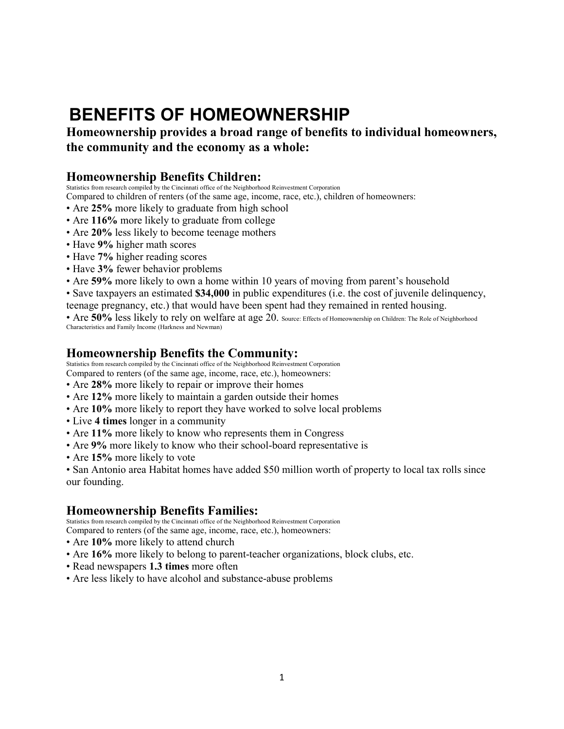# **BENEFITS OF HOMEOWNERSHIP**

**Homeownership provides a broad range of benefits to individual homeowners, the community and the economy as a whole:** 

## **Homeownership Benefits Children:**

Statistics from research compiled by the Cincinnati office of the Neighborhood Reinvestment Corporation

Compared to children of renters (of the same age, income, race, etc.), children of homeowners:

- Are **25%** more likely to graduate from high school
- Are **116%** more likely to graduate from college
- Are **20%** less likely to become teenage mothers
- Have **9%** higher math scores
- Have **7%** higher reading scores
- Have **3%** fewer behavior problems
- Are **59%** more likely to own a home within 10 years of moving from parent's household
- Save taxpayers an estimated **\$34,000** in public expenditures (i.e. the cost of juvenile delinquency,
- teenage pregnancy, etc.) that would have been spent had they remained in rented housing.

• Are 50% less likely to rely on welfare at age 20. Source: Effects of Homeownership on Children: The Role of Neighborhood Characteristics and Family Income (Harkness and Newman)

#### **Homeownership Benefits the Community:**

Statistics from research compiled by the Cincinnati office of the Neighborhood Reinvestment Corporation

- Compared to renters (of the same age, income, race, etc.), homeowners:
- Are **28%** more likely to repair or improve their homes
- Are **12%** more likely to maintain a garden outside their homes
- Are **10%** more likely to report they have worked to solve local problems
- Live **4 times** longer in a community
- Are **11%** more likely to know who represents them in Congress
- Are **9%** more likely to know who their school-board representative is
- Are **15%** more likely to vote

• San Antonio area Habitat homes have added \$50 million worth of property to local tax rolls since our founding.

## **Homeownership Benefits Families:**

Statistics from research compiled by the Cincinnati office of the Neighborhood Reinvestment Corporation

Compared to renters (of the same age, income, race, etc.), homeowners:

- Are **10%** more likely to attend church
- Are **16%** more likely to belong to parent-teacher organizations, block clubs, etc.
- Read newspapers **1.3 times** more often
- Are less likely to have alcohol and substance-abuse problems